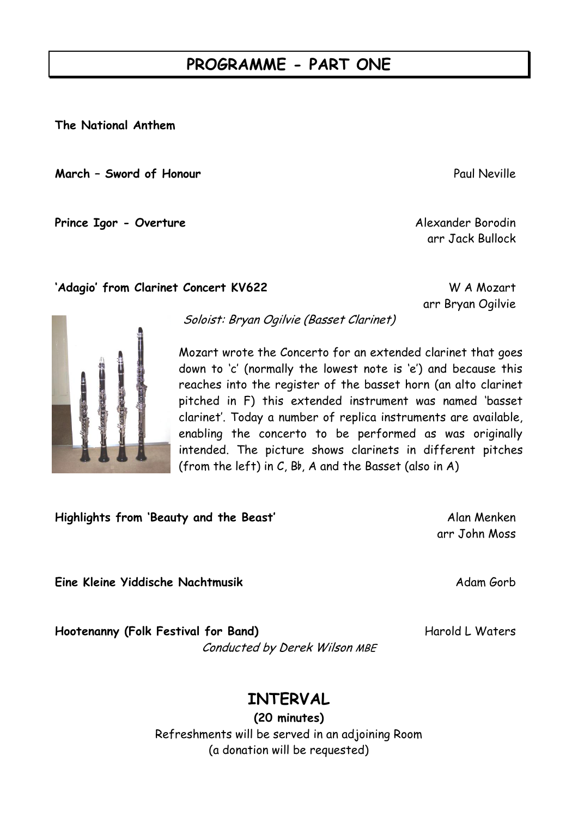## **PROGRAMME - PART ONE**

**The National Anthem**

**March – Sword of Honour Paul Neville** Paul Neville

**Prince Igor - Overture** Alexander Borodin

Soloist: Bryan Ogilvie (Basset Clarinet)

**'Adagio' from Clarinet Concert KV622** W A Mozart

Mozart wrote the Concerto for an extended clarinet that goes down to 'c' (normally the lowest note is 'e') and because this reaches into the register of the basset horn (an alto clarinet pitched in F) this extended instrument was named 'basset clarinet'. Today a number of replica instruments are available, enabling the concerto to be performed as was originally intended. The picture shows clarinets in different pitches (from the left) in  $C$ ,  $B$ b,  $A$  and the Basset (also in  $A$ )

**Highlights from 'Beauty and the Beast'** Alan Menken

**Eine Kleine Yiddische Nachtmusik** Adam Gorb

**Hootenanny (Folk Festival for Band)** Harold L Waters Conducted by Derek Wilson MBE

arr John Moss

**INTERVAL**

**(20 minutes)** Refreshments will be served in an adjoining Room (a donation will be requested)



arr Jack Bullock

arr Bryan Ogilvie